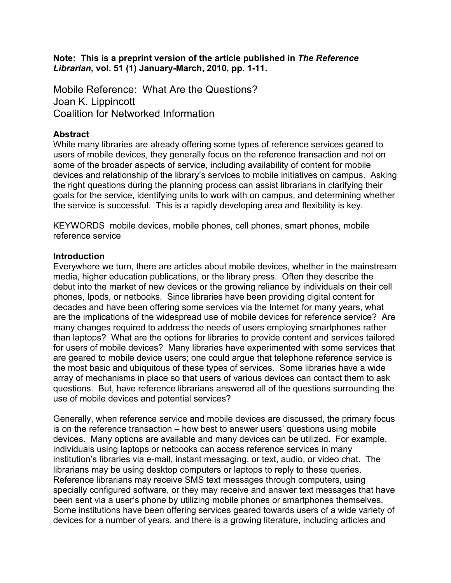**Note: This is a preprint version of the article published in** *The Reference Librarian,* **vol. 51 (1) January-March, 2010, pp. 1-11.**

Mobile Reference: What Are the Questions? Joan K. Lippincott Coalition for Networked Information

### **Abstract**

While many libraries are already offering some types of reference services geared to users of mobile devices, they generally focus on the reference transaction and not on some of the broader aspects of service, including availability of content for mobile devices and relationship of the library's services to mobile initiatives on campus. Asking the right questions during the planning process can assist librarians in clarifying their goals for the service, identifying units to work with on campus, and determining whether the service is successful. This is a rapidly developing area and flexibility is key.

KEYWORDS mobile devices, mobile phones, cell phones, smart phones, mobile reference service

#### **Introduction**

Everywhere we turn, there are articles about mobile devices, whether in the mainstream media, higher education publications, or the library press. Often they describe the debut into the market of new devices or the growing reliance by individuals on their cell phones, Ipods, or netbooks. Since libraries have been providing digital content for decades and have been offering some services via the Internet for many years, what are the implications of the widespread use of mobile devices for reference service? Are many changes required to address the needs of users employing smartphones rather than laptops? What are the options for libraries to provide content and services tailored for users of mobile devices? Many libraries have experimented with some services that are geared to mobile device users; one could argue that telephone reference service is the most basic and ubiquitous of these types of services. Some libraries have a wide array of mechanisms in place so that users of various devices can contact them to ask questions. But, have reference librarians answered all of the questions surrounding the use of mobile devices and potential services?

Generally, when reference service and mobile devices are discussed, the primary focus is on the reference transaction – how best to answer users' questions using mobile devices. Many options are available and many devices can be utilized. For example, individuals using laptops or netbooks can access reference services in many institution's libraries via e-mail, instant messaging, or text, audio, or video chat. The librarians may be using desktop computers or laptops to reply to these queries. Reference librarians may receive SMS text messages through computers, using specially configured software, or they may receive and answer text messages that have been sent via a user's phone by utilizing mobile phones or smartphones themselves. Some institutions have been offering services geared towards users of a wide variety of devices for a number of years, and there is a growing literature, including articles and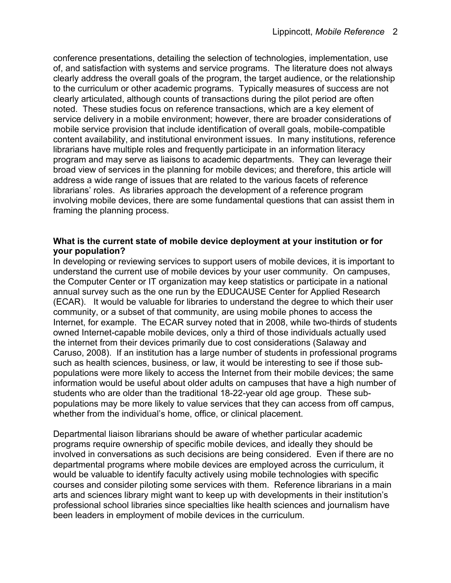conference presentations, detailing the selection of technologies, implementation, use of, and satisfaction with systems and service programs. The literature does not always clearly address the overall goals of the program, the target audience, or the relationship to the curriculum or other academic programs. Typically measures of success are not clearly articulated, although counts of transactions during the pilot period are often noted. These studies focus on reference transactions, which are a key element of service delivery in a mobile environment; however, there are broader considerations of mobile service provision that include identification of overall goals, mobile-compatible content availability, and institutional environment issues. In many institutions, reference librarians have multiple roles and frequently participate in an information literacy program and may serve as liaisons to academic departments. They can leverage their broad view of services in the planning for mobile devices; and therefore, this article will address a wide range of issues that are related to the various facets of reference librarians' roles. As libraries approach the development of a reference program involving mobile devices, there are some fundamental questions that can assist them in framing the planning process.

### **What is the current state of mobile device deployment at your institution or for your population?**

In developing or reviewing services to support users of mobile devices, it is important to understand the current use of mobile devices by your user community. On campuses, the Computer Center or IT organization may keep statistics or participate in a national annual survey such as the one run by the EDUCAUSE Center for Applied Research (ECAR). It would be valuable for libraries to understand the degree to which their user community, or a subset of that community, are using mobile phones to access the Internet, for example. The ECAR survey noted that in 2008, while two-thirds of students owned Internet-capable mobile devices, only a third of those individuals actually used the internet from their devices primarily due to cost considerations (Salaway and Caruso, 2008). If an institution has a large number of students in professional programs such as health sciences, business, or law, it would be interesting to see if those subpopulations were more likely to access the Internet from their mobile devices; the same information would be useful about older adults on campuses that have a high number of students who are older than the traditional 18-22-year old age group. These subpopulations may be more likely to value services that they can access from off campus, whether from the individual's home, office, or clinical placement.

Departmental liaison librarians should be aware of whether particular academic programs require ownership of specific mobile devices, and ideally they should be involved in conversations as such decisions are being considered. Even if there are no departmental programs where mobile devices are employed across the curriculum, it would be valuable to identify faculty actively using mobile technologies with specific courses and consider piloting some services with them. Reference librarians in a main arts and sciences library might want to keep up with developments in their institution's professional school libraries since specialties like health sciences and journalism have been leaders in employment of mobile devices in the curriculum.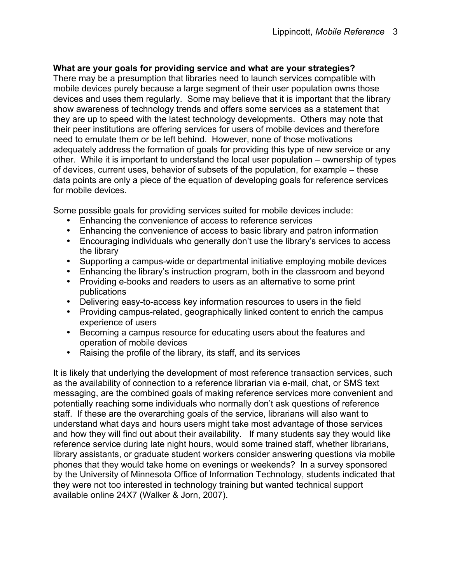## **What are your goals for providing service and what are your strategies?**

There may be a presumption that libraries need to launch services compatible with mobile devices purely because a large segment of their user population owns those devices and uses them regularly. Some may believe that it is important that the library show awareness of technology trends and offers some services as a statement that they are up to speed with the latest technology developments. Others may note that their peer institutions are offering services for users of mobile devices and therefore need to emulate them or be left behind. However, none of those motivations adequately address the formation of goals for providing this type of new service or any other. While it is important to understand the local user population – ownership of types of devices, current uses, behavior of subsets of the population, for example – these data points are only a piece of the equation of developing goals for reference services for mobile devices.

Some possible goals for providing services suited for mobile devices include:

- Enhancing the convenience of access to reference services
- Enhancing the convenience of access to basic library and patron information
- Encouraging individuals who generally don't use the library's services to access the library
- Supporting a campus-wide or departmental initiative employing mobile devices
- Enhancing the library's instruction program, both in the classroom and beyond
- Providing e-books and readers to users as an alternative to some print publications
- Delivering easy-to-access key information resources to users in the field
- Providing campus-related, geographically linked content to enrich the campus experience of users
- Becoming a campus resource for educating users about the features and operation of mobile devices
- Raising the profile of the library, its staff, and its services

It is likely that underlying the development of most reference transaction services, such as the availability of connection to a reference librarian via e-mail, chat, or SMS text messaging, are the combined goals of making reference services more convenient and potentially reaching some individuals who normally don't ask questions of reference staff. If these are the overarching goals of the service, librarians will also want to understand what days and hours users might take most advantage of those services and how they will find out about their availability. If many students say they would like reference service during late night hours, would some trained staff, whether librarians, library assistants, or graduate student workers consider answering questions via mobile phones that they would take home on evenings or weekends? In a survey sponsored by the University of Minnesota Office of Information Technology, students indicated that they were not too interested in technology training but wanted technical support available online 24X7 (Walker & Jorn, 2007).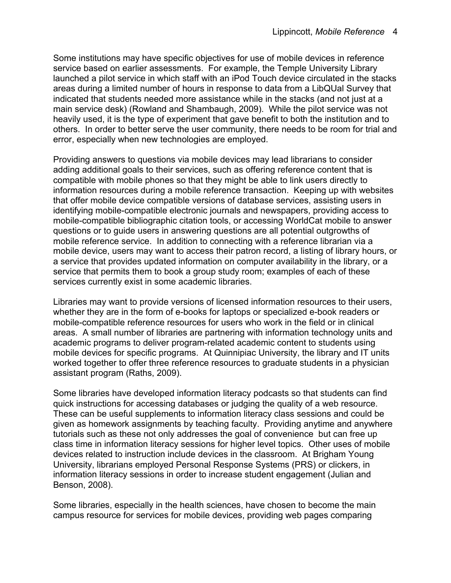Some institutions may have specific objectives for use of mobile devices in reference service based on earlier assessments. For example, the Temple University Library launched a pilot service in which staff with an iPod Touch device circulated in the stacks areas during a limited number of hours in response to data from a LibQUal Survey that indicated that students needed more assistance while in the stacks (and not just at a main service desk) (Rowland and Shambaugh, 2009). While the pilot service was not heavily used, it is the type of experiment that gave benefit to both the institution and to others. In order to better serve the user community, there needs to be room for trial and error, especially when new technologies are employed.

Providing answers to questions via mobile devices may lead librarians to consider adding additional goals to their services, such as offering reference content that is compatible with mobile phones so that they might be able to link users directly to information resources during a mobile reference transaction. Keeping up with websites that offer mobile device compatible versions of database services, assisting users in identifying mobile-compatible electronic journals and newspapers, providing access to mobile-compatible bibliographic citation tools, or accessing WorldCat mobile to answer questions or to guide users in answering questions are all potential outgrowths of mobile reference service. In addition to connecting with a reference librarian via a mobile device, users may want to access their patron record, a listing of library hours, or a service that provides updated information on computer availability in the library, or a service that permits them to book a group study room; examples of each of these services currently exist in some academic libraries.

Libraries may want to provide versions of licensed information resources to their users, whether they are in the form of e-books for laptops or specialized e-book readers or mobile-compatible reference resources for users who work in the field or in clinical areas. A small number of libraries are partnering with information technology units and academic programs to deliver program-related academic content to students using mobile devices for specific programs. At Quinnipiac University, the library and IT units worked together to offer three reference resources to graduate students in a physician assistant program (Raths, 2009).

Some libraries have developed information literacy podcasts so that students can find quick instructions for accessing databases or judging the quality of a web resource. These can be useful supplements to information literacy class sessions and could be given as homework assignments by teaching faculty. Providing anytime and anywhere tutorials such as these not only addresses the goal of convenience but can free up class time in information literacy sessions for higher level topics. Other uses of mobile devices related to instruction include devices in the classroom. At Brigham Young University, librarians employed Personal Response Systems (PRS) or clickers, in information literacy sessions in order to increase student engagement (Julian and Benson, 2008).

Some libraries, especially in the health sciences, have chosen to become the main campus resource for services for mobile devices, providing web pages comparing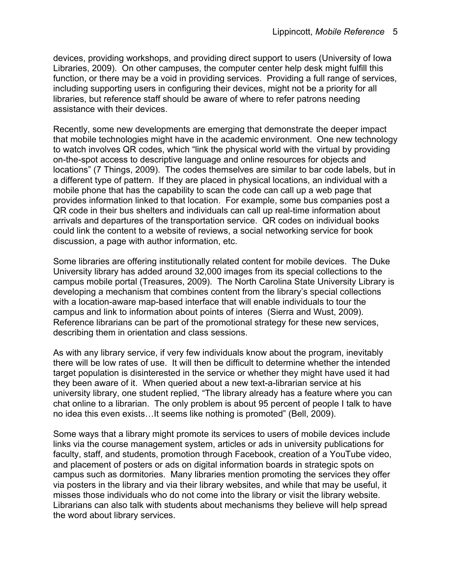devices, providing workshops, and providing direct support to users (University of Iowa Libraries, 2009). On other campuses, the computer center help desk might fulfill this function, or there may be a void in providing services. Providing a full range of services, including supporting users in configuring their devices, might not be a priority for all libraries, but reference staff should be aware of where to refer patrons needing assistance with their devices.

Recently, some new developments are emerging that demonstrate the deeper impact that mobile technologies might have in the academic environment. One new technology to watch involves QR codes, which "link the physical world with the virtual by providing on-the-spot access to descriptive language and online resources for objects and locations" (7 Things, 2009). The codes themselves are similar to bar code labels, but in a different type of pattern. If they are placed in physical locations, an individual with a mobile phone that has the capability to scan the code can call up a web page that provides information linked to that location. For example, some bus companies post a QR code in their bus shelters and individuals can call up real-time information about arrivals and departures of the transportation service. QR codes on individual books could link the content to a website of reviews, a social networking service for book discussion, a page with author information, etc.

Some libraries are offering institutionally related content for mobile devices. The Duke University library has added around 32,000 images from its special collections to the campus mobile portal (Treasures, 2009). The North Carolina State University Library is developing a mechanism that combines content from the library's special collections with a location-aware map-based interface that will enable individuals to tour the campus and link to information about points of interes (Sierra and Wust, 2009). Reference librarians can be part of the promotional strategy for these new services, describing them in orientation and class sessions.

As with any library service, if very few individuals know about the program, inevitably there will be low rates of use. It will then be difficult to determine whether the intended target population is disinterested in the service or whether they might have used it had they been aware of it. When queried about a new text-a-librarian service at his university library, one student replied, "The library already has a feature where you can chat online to a librarian. The only problem is about 95 percent of people I talk to have no idea this even exists…It seems like nothing is promoted" (Bell, 2009).

Some ways that a library might promote its services to users of mobile devices include links via the course management system, articles or ads in university publications for faculty, staff, and students, promotion through Facebook, creation of a YouTube video, and placement of posters or ads on digital information boards in strategic spots on campus such as dormitories. Many libraries mention promoting the services they offer via posters in the library and via their library websites, and while that may be useful, it misses those individuals who do not come into the library or visit the library website. Librarians can also talk with students about mechanisms they believe will help spread the word about library services.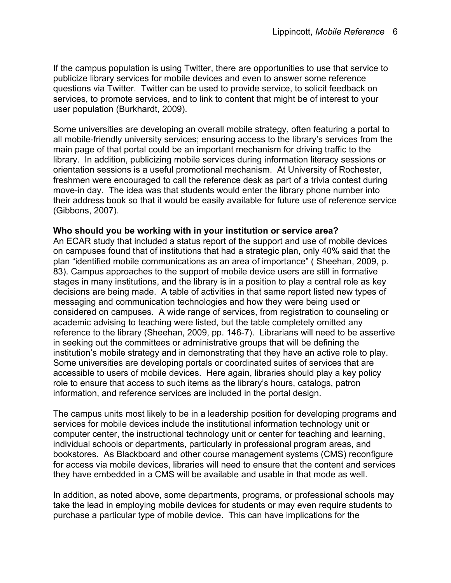If the campus population is using Twitter, there are opportunities to use that service to publicize library services for mobile devices and even to answer some reference questions via Twitter. Twitter can be used to provide service, to solicit feedback on services, to promote services, and to link to content that might be of interest to your user population (Burkhardt, 2009).

Some universities are developing an overall mobile strategy, often featuring a portal to all mobile-friendly university services; ensuring access to the library's services from the main page of that portal could be an important mechanism for driving traffic to the library. In addition, publicizing mobile services during information literacy sessions or orientation sessions is a useful promotional mechanism. At University of Rochester, freshmen were encouraged to call the reference desk as part of a trivia contest during move-in day. The idea was that students would enter the library phone number into their address book so that it would be easily available for future use of reference service (Gibbons, 2007).

#### **Who should you be working with in your institution or service area?**

An ECAR study that included a status report of the support and use of mobile devices on campuses found that of institutions that had a strategic plan, only 40% said that the plan "identified mobile communications as an area of importance" ( Sheehan, 2009, p. 83). Campus approaches to the support of mobile device users are still in formative stages in many institutions, and the library is in a position to play a central role as key decisions are being made. A table of activities in that same report listed new types of messaging and communication technologies and how they were being used or considered on campuses. A wide range of services, from registration to counseling or academic advising to teaching were listed, but the table completely omitted any reference to the library (Sheehan, 2009, pp. 146-7). Librarians will need to be assertive in seeking out the committees or administrative groups that will be defining the institution's mobile strategy and in demonstrating that they have an active role to play. Some universities are developing portals or coordinated suites of services that are accessible to users of mobile devices. Here again, libraries should play a key policy role to ensure that access to such items as the library's hours, catalogs, patron information, and reference services are included in the portal design.

The campus units most likely to be in a leadership position for developing programs and services for mobile devices include the institutional information technology unit or computer center, the instructional technology unit or center for teaching and learning, individual schools or departments, particularly in professional program areas, and bookstores. As Blackboard and other course management systems (CMS) reconfigure for access via mobile devices, libraries will need to ensure that the content and services they have embedded in a CMS will be available and usable in that mode as well.

In addition, as noted above, some departments, programs, or professional schools may take the lead in employing mobile devices for students or may even require students to purchase a particular type of mobile device. This can have implications for the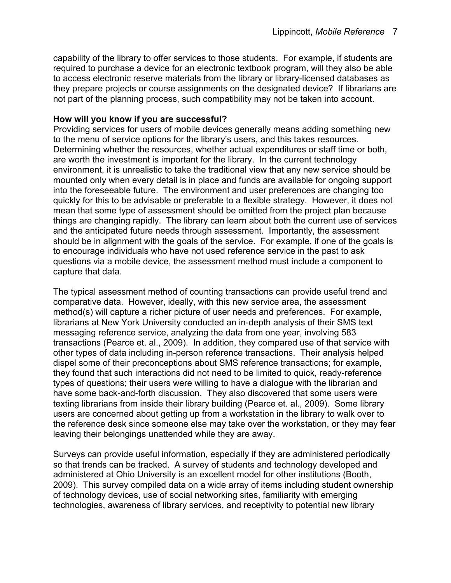capability of the library to offer services to those students. For example, if students are required to purchase a device for an electronic textbook program, will they also be able to access electronic reserve materials from the library or library-licensed databases as they prepare projects or course assignments on the designated device? If librarians are not part of the planning process, such compatibility may not be taken into account.

## **How will you know if you are successful?**

Providing services for users of mobile devices generally means adding something new to the menu of service options for the library's users, and this takes resources. Determining whether the resources, whether actual expenditures or staff time or both, are worth the investment is important for the library. In the current technology environment, it is unrealistic to take the traditional view that any new service should be mounted only when every detail is in place and funds are available for ongoing support into the foreseeable future. The environment and user preferences are changing too quickly for this to be advisable or preferable to a flexible strategy. However, it does not mean that some type of assessment should be omitted from the project plan because things are changing rapidly. The library can learn about both the current use of services and the anticipated future needs through assessment. Importantly, the assessment should be in alignment with the goals of the service. For example, if one of the goals is to encourage individuals who have not used reference service in the past to ask questions via a mobile device, the assessment method must include a component to capture that data.

The typical assessment method of counting transactions can provide useful trend and comparative data. However, ideally, with this new service area, the assessment method(s) will capture a richer picture of user needs and preferences. For example, librarians at New York University conducted an in-depth analysis of their SMS text messaging reference service, analyzing the data from one year, involving 583 transactions (Pearce et. al., 2009). In addition, they compared use of that service with other types of data including in-person reference transactions. Their analysis helped dispel some of their preconceptions about SMS reference transactions; for example, they found that such interactions did not need to be limited to quick, ready-reference types of questions; their users were willing to have a dialogue with the librarian and have some back-and-forth discussion. They also discovered that some users were texting librarians from inside their library building (Pearce et. al., 2009). Some library users are concerned about getting up from a workstation in the library to walk over to the reference desk since someone else may take over the workstation, or they may fear leaving their belongings unattended while they are away.

Surveys can provide useful information, especially if they are administered periodically so that trends can be tracked. A survey of students and technology developed and administered at Ohio University is an excellent model for other institutions (Booth, 2009). This survey compiled data on a wide array of items including student ownership of technology devices, use of social networking sites, familiarity with emerging technologies, awareness of library services, and receptivity to potential new library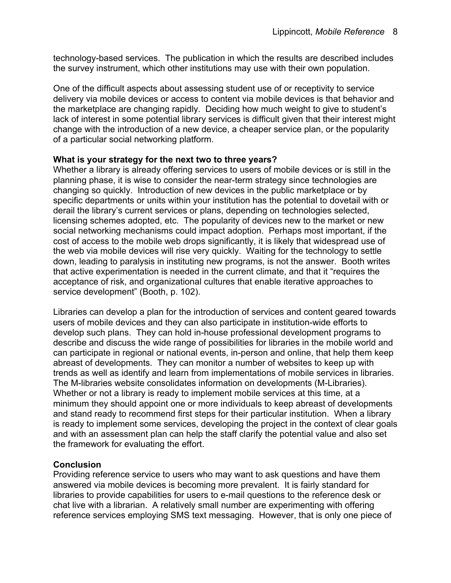technology-based services. The publication in which the results are described includes the survey instrument, which other institutions may use with their own population.

One of the difficult aspects about assessing student use of or receptivity to service delivery via mobile devices or access to content via mobile devices is that behavior and the marketplace are changing rapidly. Deciding how much weight to give to student's lack of interest in some potential library services is difficult given that their interest might change with the introduction of a new device, a cheaper service plan, or the popularity of a particular social networking platform.

## **What is your strategy for the next two to three years?**

Whether a library is already offering services to users of mobile devices or is still in the planning phase, it is wise to consider the near-term strategy since technologies are changing so quickly. Introduction of new devices in the public marketplace or by specific departments or units within your institution has the potential to dovetail with or derail the library's current services or plans, depending on technologies selected, licensing schemes adopted, etc. The popularity of devices new to the market or new social networking mechanisms could impact adoption. Perhaps most important, if the cost of access to the mobile web drops significantly, it is likely that widespread use of the web via mobile devices will rise very quickly. Waiting for the technology to settle down, leading to paralysis in instituting new programs, is not the answer. Booth writes that active experimentation is needed in the current climate, and that it "requires the acceptance of risk, and organizational cultures that enable iterative approaches to service development" (Booth, p. 102).

Libraries can develop a plan for the introduction of services and content geared towards users of mobile devices and they can also participate in institution-wide efforts to develop such plans. They can hold in-house professional development programs to describe and discuss the wide range of possibilities for libraries in the mobile world and can participate in regional or national events, in-person and online, that help them keep abreast of developments. They can monitor a number of websites to keep up with trends as well as identify and learn from implementations of mobile services in libraries. The M-libraries website consolidates information on developments (M-Libraries). Whether or not a library is ready to implement mobile services at this time, at a minimum they should appoint one or more individuals to keep abreast of developments and stand ready to recommend first steps for their particular institution. When a library is ready to implement some services, developing the project in the context of clear goals and with an assessment plan can help the staff clarify the potential value and also set the framework for evaluating the effort.

# **Conclusion**

Providing reference service to users who may want to ask questions and have them answered via mobile devices is becoming more prevalent. It is fairly standard for libraries to provide capabilities for users to e-mail questions to the reference desk or chat live with a librarian. A relatively small number are experimenting with offering reference services employing SMS text messaging. However, that is only one piece of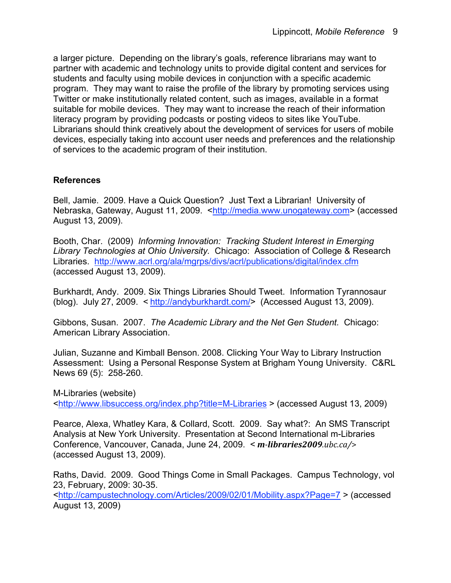a larger picture. Depending on the library's goals, reference librarians may want to partner with academic and technology units to provide digital content and services for students and faculty using mobile devices in conjunction with a specific academic program. They may want to raise the profile of the library by promoting services using Twitter or make institutionally related content, such as images, available in a format suitable for mobile devices. They may want to increase the reach of their information literacy program by providing podcasts or posting videos to sites like YouTube. Librarians should think creatively about the development of services for users of mobile devices, especially taking into account user needs and preferences and the relationship of services to the academic program of their institution.

## **References**

Bell, Jamie. 2009. Have a Quick Question? Just Text a Librarian! University of Nebraska, Gateway, August 11, 2009. <http://media.www.unogateway.com> (accessed August 13, 2009).

Booth, Char. (2009) *Informing Innovation: Tracking Student Interest in Emerging Library Technologies at Ohio University.* Chicago: Association of College & Research Libraries. http://www.acrl.org/ala/mgrps/divs/acrl/publications/digital/index.cfm (accessed August 13, 2009).

Burkhardt, Andy. 2009. Six Things Libraries Should Tweet. Information Tyrannosaur (blog). July 27, 2009. < http://andyburkhardt.com/> (Accessed August 13, 2009).

Gibbons, Susan. 2007. *The Academic Library and the Net Gen Student.* Chicago: American Library Association.

Julian, Suzanne and Kimball Benson. 2008. Clicking Your Way to Library Instruction Assessment: Using a Personal Response System at Brigham Young University. C&RL News 69 (5): 258-260.

M-Libraries (website)

<http://www.libsuccess.org/index.php?title=M-Libraries > (accessed August 13, 2009)

Pearce, Alexa, Whatley Kara, & Collard, Scott. 2009. Say what?: An SMS Transcript Analysis at New York University. Presentation at Second International m-Libraries Conference, Vancouver, Canada, June 24, 2009. < *mlibraries2009.ubc.ca/*> (accessed August 13, 2009).

Raths, David. 2009. Good Things Come in Small Packages. Campus Technology, vol 23, February, 2009: 30-35.

<http://campustechnology.com/Articles/2009/02/01/Mobility.aspx?Page=7 > (accessed August 13, 2009)